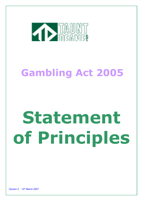

# Gambling Act 2005

# Statement of Principles

Version 2 12th March 2007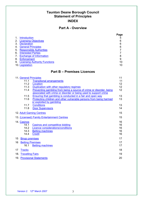## Taunton Deane Borough Council Statement of Principles INDEX

## Part A - Overview

|                                  |                                      | Page |
|----------------------------------|--------------------------------------|------|
|                                  | <b>Introduction</b>                  | 5    |
| 2.                               | <b>Licensing Objectives</b>          | 6    |
| 3.                               | <b>Declaration</b>                   | 6    |
| 4.                               | <b>General Principles</b>            | 6    |
| 5.                               | <b>Responsible Authorities</b>       |      |
| 6.                               | <b>Interested Parties</b>            |      |
| $7_{\scriptscriptstyle{\ddots}}$ | <b>Exchange of Information</b>       | 8    |
| 8.                               | <b>Enforcement</b>                   | 9    |
| 9.                               | <b>Licensing Authority Functions</b> | 10   |
|                                  | 10. Legislation                      | 10   |

## Part B – Premises Licences

|     | 11. General Principles              |                                                                                                                                         | 11                   |
|-----|-------------------------------------|-----------------------------------------------------------------------------------------------------------------------------------------|----------------------|
|     | 11.1                                | <b>Transitional arrangements</b>                                                                                                        | 11                   |
|     | 11.2                                | Location                                                                                                                                | 12                   |
|     | 11.3                                | Duplication with other regulatory regimes                                                                                               | 12                   |
|     | 11.4                                | Preventing gambling from being a source of crime or disorder, being<br>associated with crime or disorder or being used to support crime | 12                   |
|     | 11.5                                | Ensuring that gambling is conducted in a fair and open way                                                                              | 13                   |
|     | 11.6                                | Protecting children and other vulnerable persons from being harmed                                                                      | 13                   |
|     |                                     | or exploited by gambling                                                                                                                |                      |
|     | 11.7                                | <b>Conditions</b>                                                                                                                       | 13                   |
|     | 11.8                                | <b>Door Supervisors</b>                                                                                                                 | 14                   |
|     |                                     | 12. Adult Gaming Centres                                                                                                                | 15                   |
|     |                                     | 13. (Licensed) Family Entertainment Centres                                                                                             | 15                   |
|     | 14. Casinos<br>14.1<br>14.2<br>14.3 | <b>Casinos and competitive bidding</b><br>Licence considerations/conditions<br><b>Betting machines</b>                                  | 16<br>16<br>16<br>16 |
|     | 14.4                                | <b>Credit</b>                                                                                                                           | 16                   |
| 15  | <b>Bingo premises</b>               |                                                                                                                                         | 17                   |
| 16  | <b>Betting Premises</b><br>16.1     | <b>Betting machines</b>                                                                                                                 | 17<br>17             |
| 17  | <b>Tracks</b>                       |                                                                                                                                         | 18                   |
| 18. | <b>Travelling Fairs</b>             |                                                                                                                                         | 19                   |
|     |                                     | 19. Provisional Statements                                                                                                              | 20                   |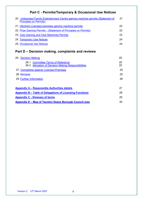## Part C - Permits/Temporary & Occasional Use Notices

| 20. Unlicensed Family Entertainment Centre gaming machine permits (Statement of<br><b>Principles on Permits)</b> | 21  |
|------------------------------------------------------------------------------------------------------------------|-----|
| 21. (Alcohol) Licensed premises gaming machine permits                                                           | 22  |
| 22. Prize Gaming Permits - (Statement of Principles on Permits)                                                  | 22. |
| 23. Club Gaming and Club Machines Permits                                                                        | 23  |
| 24. Temporary Use Notices                                                                                        | 24  |
| <b>25. Occasional Use Notices</b>                                                                                | 24  |

## Part D – Decision making, complaints and reviews

|                         | 26. Decision Making                                                                      |          |
|-------------------------|------------------------------------------------------------------------------------------|----------|
|                         | 26.1 Committee Terms of Reference<br>26.2 Allocation of Decision Making Responsibilities | 25<br>25 |
|                         | 27. Complaints against Licensed Premises                                                 | 25       |
| 28 Reviews              |                                                                                          | 25       |
| 29. Further Information |                                                                                          | 26       |
|                         |                                                                                          |          |
|                         | <b>Appendix A – Responsible Authorities details</b>                                      | 27       |
|                         | <b>Appendix B – Table of Delegations of Licensing Functions</b>                          | 28       |
|                         | <b>Appendix C - Glossary of terms</b>                                                    | 29       |
|                         | Appendix D – Map of Taunton Deane Borough Council area                                   | 30       |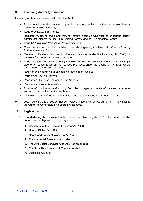#### 9. **Licensing Authority functions**

Licensing Authorities are required under the Act to:

- $\bullet$ issuing Premises Licences; Be responsible for the licensing of premises where gambling activities are to take place by
- Issue Provisional Statements;
- gaming activities via issuing Club Gaming Permits and/or Club Machine Permits; Regulate members' clubs and miners' welfare institutes who wish to undertake certain
- Issue Club Machine Permits to Commercial Clubs;
- Entertainment Centres; Grant permits for the use of certain lower stake gaming machines at *unlicensed Family*
- the use of two or fewer gaming machines; Receive notifications from alcohol licensed premises (under the Licensing Act 2003) for
- alcohol for consumption on the licensed premises, under the Licensing Act 2003, where there are more than two machines; Issue Licensed Premises Gaming Machine Permits for premises licensed to sell/supply
- Register small society lotteries below prescribed thresholds;
- Issue Prize Gaming Permits;
- Receive and Endorse Temporary Use Notices;
- Receive Occasional Use Notices;
- section above on 'information exchange); Provide information to the Gambling Commission regarding details of licences issued (see
- $\bullet$ Maintain registers of the permits and licences that are issued under these functions.
- $9.1$  the Gambling Commission via operating licences. Local licensing authorities will not be involved in licensing remote gambling. This will fall to

#### $10<sub>1</sub>$ Legislation

- $10.1$  bound by other legislation, including:- In undertaking its licensing function under the Gambling Act 2005, the Council is also
	- 1. Section 17 of the Crime and Disorder Act 1988;
	- 2. Human Rights Act 1998;
	- 3. Health and Safety at Work Etc Act 1974;
	- 4. Environmental Protection Act 1990;
	- 5. The Anti-Social Behaviour Act 2003 (as amended);
	- 6. The Race Relations Act 1976 (as amended);
	- 7. Licensing Act 2003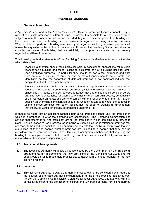## PART B

## PREMISES LICENCES

## 11. General Principles

 A "premises" is defined in the Act as "any place". Different premises licences cannot apply in respect of a single premises at different times. However, it is possible for a single building to be subject to more than one premises licence, provided they are for different parts of the building and the different parts of the building can be reasonably regarded as being different premises. Whether different parts of a building can properly be regarded as being separate premises will always be a question of fact in the circumstances. However, the Gambling Commission does not consider that areas of a building that are artificially or temporarily separate can be properly regarded as different premises.

 This licensing authority takes note of the Gambling Commission's Guidance for local authorities which states that:

- licences for a building and those relating to a discrete part of a building used for other (non-gambling) purposes. In particular they should be aware that entrances and exits from parts of a building covered by one or more licences should be separate and identifiable so that the separation of different premises is not compromised and that people do not 'drift' into a gambling area. licensing authorities should take particular care in considering applications for multiple
- licensed premises is through other premises (which themselves may be licensed or unlicensed). Clearly, there will be specific issues that authorities should consider before granting such applications, for example, whether children can gain access; compatibility of the two establishments; and ability to comply with the requirements of the Act. But, in addition an overriding consideration should be whether, taken as a whole, the co-location of the licensed premises with other facilities has the effect of creating an arrangement that otherwise would, or should, be prohibited under the Act. licensing authorities should pay particular attention to applications where access to the

 It should be noted that an applicant cannot obtain a full premises licence until the premises in which it is proposed to offer the gambling are constructed. The Gambling Commission has advised that reference to "the premises" are to the premises in which gambling may now take place. Thus a licence to use premises for gambling will only be issued in relation to premises that are ready to be used for gambling. This authority agrees with the Gambling Commission that it is a question of fact and degree whether premises are finished to a degree that they can be considered for a premises licence. The Gambling Commission emphasises that requiring the building to be complete ensures that the authority can, if necessary, inspect it fully, as can other responsible authorities with inspection rights.

## 11.1 Transitional Arrangements

 11.1.1 The Licensing Authority will follow guidance issued by the Government on the transitional arrangements for implementing the new provisions of the Gambling Act 2005, and will endeavour, as far is reasonably practicable, to assist with a smooth transfer to the new licensing regime.

## 11.2 Location

 11.2.1 This licensing authority is aware that demand issues cannot be considered with regard to the location of premises but that considerations in terms of the licensing objectives can. As per the Gambling Commission's Guidance for local authorities, this authority will pay particular attention to the protection of children and vulnerable persons from being harmed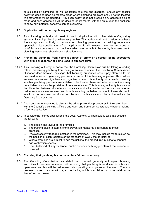or exploited by gambling, as well as issues of crime and disorder. Should any specific policy be decided upon as regards areas where gambling premises should not be located, this statement will be updated. Any such policy does not preclude any application being made and each application will be decided on its merits, with the onus upon the applicant to show how potential concerns can be overcome.

## 11.3 Duplication with other regulatory regimes

 11.3.1 This licensing authority will seek to avoid duplication with other statutory/regulatory systems, including planning, wherever possible. This authority will not consider whether a licence applicant is likely to be awarded planning permission or building regulations approval, in its consideration of an application. It will however, listen to, and consider carefully, any concerns about conditions which are not able to be met by licensees due to planning restrictions, should such a situation arise.

## 11.4 Preventing gambling from being a source of crime or disorder, being associated with crime or disorder or being used to support crime

- 11.4.1 This licensing authority is aware that the Gambling Commission will be taking a leading role in preventing gambling from being a source of crime. The Gambling Commission's Guidance does however envisage that licensing authorities should pay attention to the proposed location of gambling premises in terms of this licensing objective. Thus, where an area has known high levels of organised crime, this authority will consider carefully whether gambling premises are suitable to be located there and whether conditions may be suitable, such as the provision of door supervisors. This licensing authority is aware of the distinction between disorder and nuisance and will consider factors such as whether police assistance was required and how threatening the behaviour was to those who could see it, so as to make that distinction. Issues of nuisance cannot be addressed via the Gambling Act provisions.
- 11.4.2 Applicants are encouraged to discuss the crime prevention procedures in their premises with the Council's Licensing Officers and Avon and Somerset Constabulary before making a formal application.
- 11.4.3 In considering licence applications, the Local Authority will particularly take into account the following:
	- 1. The design and layout of the premises;
	- 2. The training given to staff in crime prevention measures appropriate to those premises;
	- 3. Physical security features installed in the premises. This may include matters such as the position of cash registers or the standard of CCTV that is installed;
	- 4. Where premises are subject to age restrictions, the procedures in place to conduct age verification checks;
	- 5. The likelihood of any violence, public order or policing problem if the licence is granted.

## 11.5 Ensuring that gambling is conducted in a fair and open way

 11.5.1 The Gambling Commission has stated that it would generally not expect licensing authorities to become concerned with ensuring that gambling is conducted in a fair and open way, as this will be addressed via operating and personal licences. There is however, more of a role with regard to tracks, which is explained in more detail in the 'tracks' section below.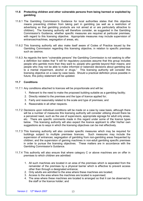## 11.6 Protecting children and other vulnerable persons from being harmed or exploited by gambling

- 11.6.1 The Gambling Commission's Guidance for local authorities states that this objective means preventing children from taking part in gambling (as well as a restriction of advertising so that gambling products are not aimed at or are particularly attractive to children). The licensing authority will therefore consider, as suggested in the Gambling Commission's Guidance, whether specific measures are required at particular premises, with regard to this licensing objective. Appropriate measures may include supervision of entrances/machines, segregation of areas, etc.
- 11.6.2 This licensing authority will also make itself aware of Codes of Practice issued by the Gambling Commission regarding this licensing objective, in relation to specific premises such as casinos.
- 11.6.3 As regards the term "vulnerable persons" the Gambling Commission is not seeking to offer a definition but states that "it will for regulatory purposes assume that this group includes people who gamble more than they want to; people who gamble beyond their means; and to a mental impairment, alcohol or drugs." This licensing authority will consider this licensing objective on a case by case basis. Should a practical definition prove possible in future, this policy statement will be updated. people who may not be able to make informed or balanced decisions about gambling due

## 11.7 Conditions

- 11.7.1 Any conditions attached to licences will be proportionate and will be:
	- 1. Relevant to the need to make the proposed building suitable as a gambling facility;
	- 2. Directly related to the premises and the type of licence applied for;
	- 3. Fairly and reasonably related to the scale and type of premises; and
	- 4. Reasonable in all other respects.
- 11.7.2 Decisions upon individual conditions will be made on a case by case basis, although there will be a number of measures this licensing authority will consider utilising should there be a perceived need, such as the use of supervisors, appropriate signage for adult only areas, etc. There are specific comments made in this regard under some of the licence types below. This licensing authority will also expect the licence applicant to offer his/her own suggestions as to ways in which the licensing objectives can be met effectively.
- 11.7.3 This licensing authority will also consider specific measures which may be required for buildings subject to multiple premises licences. Such measures may include the supervision of entrances; segregation of gambling from non-gambling areas frequented by children; and the supervision of gaming machines in non-adult gambling specific premises in order to pursue the licensing objectives. These matters are in accordance with the Gambling Commission's Guidance.
- 11.7.4 This authority will also ensure that where category C or above machines are on offer in premises to which children are admitted:
	- 1. All such machines are located in an area of the premises which is separated from the remainder of the premises by a physical barrier which is effective to prevent access other than through a designated entrance;
	- 2. Only adults are admitted to the area where these machines are located;
	- 3. Access to the area where the machines are located is supervised;
	- 4. The area where these machines are located is arranged so that it can be observed by the staff or the licence holder; and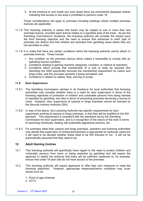5. At the entrance to and inside any such areas there are prominently displayed notices indicating that access to the area is prohibited to persons under 18.

 These considerations will apply to premises including buildings where multiple premises licences are applicable.

- 11.7.5 This licensing authority is aware that tracks may be subject to one or more than one premises licence, provided each licence relates to a specified area of the track. As per the Gambling Commission's Guidance, this licensing authority will consider the impact upon the third licensing objective and the need to ensure that entrances to each type of premises are distinct and that children are excluded from gambling areas where they are not permitted to enter.
- 11.7.6 It is noted that there are certain conditions which the licensing authority cannot attach to premises licences. These include:
	- 1. Any condition on the premises licence which makes it impossible to comply with an operating licence condition;
	- 2. Conditions relating to gaming machine categories, numbers, or method of operation;
	- 3. Conditions which provide that membership of a club or body be required (the Gambling Act 2005 specifically removes the membership requirement for casino and bingo clubs, and this provision prevents it being reinstated; and
	- 4. Conditions in relation to stakes, fees, winning or prizes.

#### $11.8$ Door Supervisors

- $11.8.1$  authorities may consider whether there is a need for door supervisors in terms of the licensing objectives of protection of children and vulnerable persons from being harmed or exploited by gambling, and also in terms of preventing premises becoming a source of crime. However, door supervisors at casinos or bingo premises cannot be licensed by the Security Industry Authority (SIA). The Gambling Commission advises in its Guidance for local authorities that licensing
- 11.8.2 In view of the above, this Licensing Authority has specific requirements for door supervisors working at casinos or bingo premises, in that they will be qualified to the SIA standard. This requirement is consistent with the standards set by the Gambling Commission for door supervisors, and is in recognition of the nature of the work in terms of searching individuals, dealing with potentially aggressive persons, etc.
- 11.8.3 For premises other than casinos and bingo premises, operators and licensing authorities may decide that supervision of entrances/machines is appropriate for particular cases but it will need to be decided whether these need to be SIA licensed or not. It will not be automatically assumed that they need to be.

#### $12.$ **Adult Gaming Centres**

- $12<sub>1</sub>$  vulnerable persons from harm or being exploited by gambling and will expect the applicant to satisfy the authority that there will be sufficient measures to, for example, ensure that under 18 year olds do not have access to the premises. This licensing authority will specifically have regard to the need to protect children and
- $12.2$  licensing objectives. However, appropriate measures/licence conditions may cover issues such as: This licensing authority will expect applicants to offer their own measures to meet the
	- 1. Proof of age schemes
	- 2. CCTV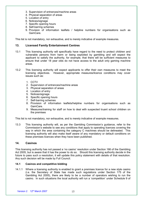- 3. Supervision of entrances/machine areas
- 4. Physical separation of areas
- 5. Location of entry
- 6. Notices/signage
- 7. Specific opening hours
- 8. Self-barring schemes
- 9. Provision of information leaflets / helpline numbers for organisations such as GamCare.

This list is not mandatory, nor exhaustive, and is merely indicative of example measures.

#### $13.$ **Licensed Family Entertainment Centres**

- $131$  vulnerable persons from harm or being exploited by gambling and will expect the applicant to satisfy the authority, for example, that there will be sufficient measures to ensure that under 18 year olds do not have access to the adult only gaming machine areas. This licensing authority will specifically have regard to the need to protect children and
- $13.2$  licensing objectives. However, appropriate measures/licence conditions may cover issues such as: This licensing authority will expect applicants to offer their own measures to meet the
	- 1. CCTV
	- 2. Supervision of entrances/machine areas
	- 3. Physical separation of areas
	- 4. Location of entry
	- 5. Notices/signage
	- 6. Specific opening hours
	- 7. Self-barring schemes
	- 8. Provision of information leaflets/helpline numbers for organisations such as GamCare.
	- 9. Measures/training for staff on how to deal with suspected truant school children on the premises

This list is not mandatory, nor exhaustive, and is merely indicative of example measures.

 $13.3<sub>1</sub>$  Commission's website to see any conditions that apply to operating licences covering the way in which the area containing the category C machines should be delineated. This licensing authority will also make itself aware of any mandatory or default conditions on these premises licences when they have been published. 13.3 This licensing authority will, as per the Gambling Commission's guidance, refer to the

#### $14.$ **Casinos**

 This licensing authority has not passed a 'no casino' resolution under Section 166 of the Gambling Act 2005, but is aware that it has the power to do so. Should this licensing authority decide in the future to pass such a resolution, it will update this policy statement with details of that resolution. Any such decision will be made by Full Council.

## 14.1 Casinos and competitive bidding

 14.1.1 Where a licensing authority is enabled to grant a premises licence for a new style casino (i.e. the Secretary of State has made such regulations under Section 175 of the Gambling Act 2005), there are likely to be a number of operators wishing to run the casino. In such situations the local authority will run a 'competition' under Schedule 9 of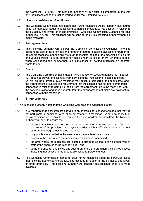the Gambling Act 2005. This licensing authority will run such a competition in line with any regulations/codes of practice issued under the Gambling Act 2005.

## 14.2 Licence considerations/conditions

 $1421$  about the particular issues that licensing authorities should take into account in relation to the suitability and layout of casino premises" (Gambling Commission Guidance for local authorities - 17.30). This guidance will be considered by this licensing authority when it is made available. The Gambling Commission has stated that "further guidance will be issued in due course

## 14.3 Betting machines

 $14.3.1$  account the size of the premises, the number of counter positions available for person-to- person transactions, and the ability of staff to monitor the use of the machines by children and young persons (it is an offence for those under 18 to bet) or by vulnerable people, when considering the number/nature/circumstances of betting machines an operator wants to offer. This licensing authority will, as per the Gambling Commission's Guidance, take into

#### $14.4$ **Credit**

 $14.4.1$  177 does not prevent the licensee from permitting the installation of cash dispensers (ATMs) on the premises. Such machines may accept credit cards (and debit cards) and the arrangement is subject to a requirement that the licensee has no other commercial connection in relation to gambling (aside from the agreement to site the machines) with the service provider and does not profit from the arrangement, not make any payment in connection with the machines". The Gambling Commission has stated in its Guidance for Local Authorities that "Section

#### $15.$ **Bingo premises**

- 1. This licensing authority notes that the Gambling Commission's Guidance states:
- $15.1$  not participate in gambling, other than on category D machines. Where category C or above machines are available in premises to which children are admitted, the licensing authority will seek to ensure that: It is important that if children are allowed to enter premises licensed for bingo that they do
	- remainder of the premises by a physical barrier which is effective to prevent access other than through a designated entrance; all such machines are located in an area of the premises separate from the
	- only adults are admitted to the area where the machines are located;
	- access to the area where the machines are located is supervised;
	- staff of the operator or the licence holder; and the area where the machines are located is arranged so that it can be observed by
	- indicating that access to the area is prohibited to persons under 18. at the entrance to, and inside any such area, there are prominently displayed notices
- $15.2$  that licensing authorities should take into account in relation to the suitability and layout of bingo premises. This licensing authority will consider this guidance once it is made The Gambling Commission intends to issue further guidance about the particular issues available.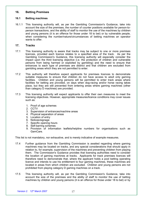#### 16. **Betting Premises**

#### $16.1$ **Betting machines**

 $16.1.1$  account the size of the premises, the number of counter positions available for person-to- person transactions, and the ability of staff to monitor the use of the machines by children and young persons (it is an offence for those under 18 to bet) or by vulnerable people, when considering the number/nature/circumstances of betting machines an operator wants to offer. 16.1.1 This licensing authority will, as per the Gambling Commission's Guidance, take into

#### $17.$ **Tracks**

- $17.1$  licences, provided each licence relates to a specified area of the track. As per the Gambling Commission's Guidance, this licensing authority will especially consider the impact upon the third licensing objective (i.e. the protection of children and vulnerable persons from being harmed or exploited by gambling) and the need to ensure that entrances to each type of premises are distinct and that children are excluded from gambling areas which they are not permitted to enter. This licensing authority is aware that tracks may be subject to one or more premises
- $17.2$  suitable measures to ensure that children do not have access to adult only gaming facilities. Children and young persons will be permitted to enter track areas where facilities for betting are provided, on days when dog-racing and/or horse racing takes place, but they are still prevented from entering areas where gaming machines (other than category D machines) are provided. This authority will therefore expect applicants for premises licences to demonstrate
- $17.3$  licensing objectives. However, appropriate measures/licence conditions may cover issues such as: This licensing authority will expect applicants to offer their own measures to meet the
	- 1. Proof of age schemes
	- 2. CCTV
	- 3. Supervision of entrances/machine areas
	- 4. Physical separation of areas
	- 5. Location of entry
	- 6. Notices/signage
	- 7. Specific opening hours
	- 8. Self-barring schemes
	- 9. Provision of information leaflets/helpline numbers for organisations such as GamCare.

This list is not mandatory, nor exhaustive, and is merely indicative of example measures.

- $17.4$  machines may be located on tracks, and any special considerations that should apply in relation to, for example, supervision of the machines and preventing children from playing them. The Commission's Guidance provides that licensing authorities need to consider the location of gaming machines at tracks. Applicants for track premises licences will therefore need to demonstrate that, where the applicant holds a pool betting operating licence and intends to use his entitlement to four gaming machines, these machines are located in areas from which children are excluded. Children and young persons are not prohibited from playing category D gaming machines on a track. Further guidance from the Gambling Commission is awaited regarding where gaming
- $17.5$  account the size of the premises and the ability of staff to monitor the use of betting machines by children and young persons (it is an offence for those under 18 to bet) or by This licensing authority will, as per the Gambling Commission's Guidance, take into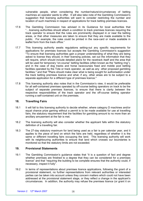vulnerable people, when considering the number/nature/circumstances of betting machines an operator wants to offer. It will also take note of the Gambling Commission's suggestion that licensing authorities will want to consider restricting the number and location of such machines in respect of applications for track betting premises licences.

- 17.6 "…licensing authorities should attach a condition to track premises licences requiring the track operator to ensure that the rules are prominently displayed in or near the betting areas, or that other measures are taken to ensure that they are made available to the public. For example, the rules could be printed in the race-card or made available in leaflet form from the track office." The Gambling Commission has advised in its Guidance for local authorities that
- $17.7$  applications for premises licences but accepts the Gambling Commission's suggestion "To ensure that licensing authorities gain a proper understanding of what they are being asked to license they should, in their licensing policies, set out the information that they will require, which should include detailed plans for the racetrack itself and the area that will be used for temporary "on-course" betting facilities (often known as the "betting ring"), and in the case of dog tracks and horse racecourses fixed and mobile pool betting facilities operated by the Tote or track operator, as well as any other proposed gambling facilities." and that "Plans should make clear what is being sought for authorisation under the track betting premises licence and what, if any, other areas are to be subject to a separate application for a different type of premises licence." This licensing authority awaits regulations setting-out any specific requirements for
- $17.8$  for all self-contained premises operated by off-course betting operators on track to be the subject of separate premises licences, to ensure that there is clarity between the respective responsibilities of the track operator and the off-course betting operator running a self-contained unit on the premises. This licensing authority also notes that in the Commission's view, it would be preferable

#### 18. **Travelling Fairs**

- $18.1$  equal chance prize gaming without a permit is to be made available for use at travelling fairs, the statutory requirement that the facilities for gambling amount to no more than an ancillary amusement at the fair is met. It will fall to this licensing authority to decide whether, where category D machines and/or
- $18.2$  definition of a travelling fair. The licensing authority will also consider whether the applicant falls within the statutory
- $18.3$  applies to the piece of land on which the fairs are held, regardless of whether it is the same or different travelling fairs occupying the land. This licensing authority will work with its neighbouring authorities to ensure that land which crosses our boundaries is monitored so that the statutory limits are not exceeded. The 27-day statutory maximum for land being used as a fair is per calendar year, and it

#### 19. **Provisional Statements**

- $19.1$  whether premises are finished to a degree that they can be considered for a premises licence" and that "requiring the building to be complete ensures that the authority could, if necessary, inspect it fully". The Gambling Commission's guidance states that "it is a question of fact and degree
- $19.2$  provisional statement, no further representations from relevant authorities or interested parties can be taken into account unless they concern matters which could not have been addressed at the provisional statement stage, or they reflect a change in the applicant's circumstances. In addition, the authority may refuse the premises licence (or grant it on In terms of representations about premises licence applications, following the grant of a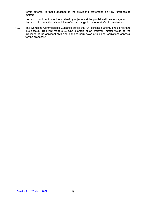terms different to those attached to the provisional statement) only by reference to matters:

- (a) which could not have been raised by objectors at the provisional licence stage; or
- (b) which in the authority's opinion reflect a change in the operator's circumstances.
- $19.3$  into account irrelevant matters..… One example of an irrelevant matter would be the likelihood of the applicant obtaining planning permission or building regulations approval for the proposal." The Gambling Commission's Guidance states that "A licensing authority should not take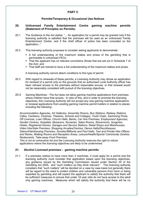## PART C

## Permits/Temporary & Occasional Use Notices

## 20. Unlicensed Family Entertainment Centre gaming machine permits (Statement of Principles on Permits)

- $20.1$  licensing authority is satisfied that the premises will be used as an unlicensed Family Entertainment Centre, and if the chief officer of police has been consulted on the application..." The Guidance to the Act states: "... An application for a permit may be granted only if the
- $20.2$ This licensing authority proposes to consider asking applicants to demonstrate:
	- A full understanding of the maximum stakes and prizes of the gambling that is permissible in unlicensed FECs;
	- That the applicant has no relevant convictions (those that are set out in Schedule 7 of the Act); and
	- **That staff are trained to have a full understanding of the maximum stakes and prizes.**

A licensing authority cannot attach conditions to this type of permit.

- $20.3$  for renewal of a permit only on the grounds that an authorised Local Authority officer has been refused access to the premises without reasonable excuse, or that renewal would not be reasonably consistent with pursuit of the licensing objectives. With regard to renewals of these permits, a Licensing Authority may refuse an application
- 20.4 Gaming Machines The Act does not allow gaming machine applications from premises where children have free access. In view of this, and in order to promote the licensing objectives, this Licensing Authority will not accept any new gaming machine applications or renewal applications from existing gaming machine permit holders in relation to places including the following:

 Accommodation Agencies, Art Galleries, Assembly Rooms, Bus Stations, Railway Stations, Cafes, Canteens, Cinemas, Theatres, Schools and Colleges, Youth Clubs, Swimming Pools, Off Licences, Loan Offices, Church Halls, Banks, Car Hire Premises, Employment Agencies, Garden Centres, Hospitals, Museums, Nurseries, Sales Rooms, Showrooms, Surgeries, Hotels, Registered Homes, Garages and Service Stations, Retail Shops and Warehouses, Video Hire/Sale Premises, Shopping Arcades/Centres, Dance Halls/Discotheques, Salons/Hairdressing Premises, Snooker/Billiards and Pool Halls, Taxi and Private Hire Offices and Ranks, Waiting Rooms and Reception Areas, Leisure/Health/Sports/ Community Centres, Restaurants, Take-away Food Premises.

 This is not an exhaustive list and the Licensing Authority reserves the right to refuse applications where the licensing objectives are likely to be undermined.

#### $21<sub>1</sub>$ Alcohol Licensed premises - gaming machine permits

 $21.1$  licensing authority must consider that application based upon the licensing objectives, any guidance issued by the Gambling Commission issued under Section 25 of the Gambling Act 2005, and "such matters as they think relevant." This licensing authority considers that "such matters" will be decided on a case by case basis but generally there will be regard to the need to protect children and vulnerable persons from harm or being exploited by gambling and will expect the applicant to satisfy the authority that there will be sufficient measures to ensure that under 18 year olds do not have access to the adult only gaming machines. Measures which will satisfy the authority that there will be no If a premises wishes to have more than 2 machines, it must apply for a permit and the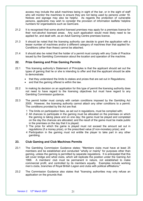access may include the adult machines being in sight of the bar, or in the sight of staff who will monitor the machines to ensure they are not being used by persons under 18. Notices and signage may also be helpful. As regards the protection of vulnerable persons, applicants may wish to consider the provision of information leaflets/ helpline numbers for organisations such as GamCare.

- $21.2$  their non-alcohol licensed areas. Any such application would most likely need to be applied for, and dealt with, as an Adult Gaming Centre premises licence. It is recognised that some alcohol licensed premises may apply for a premises licence for
- $21.3$  lesser number of machines and/or a different category of machines than that applied for. Conditions (other than these) cannot be attached. It should be noted that the licensing authority can decide to grant the application with a
- $21.4$  issued by the Gambling Commission about the location and operation of the machine. It should also be noted that the holder of a permit must comply with any Code of Practice

#### $22.$ **Prize Gaming and Prize Gaming Permits**

- $22.1$  types of gaming that he or she is intending to offer and that the applicant should be able to demonstrate: 22.1 This licensing authority's Statement of Principles is that the applicant should set out the
	- that they understand the limits to stakes and prizes that are set out in Regulations;
	- and that the gaming offered is within the law.
- $22.2$  not need to have regard to the licensing objectives but must have regard to any Gambling Commission guidance. In making its decision on an application for this type of permit the licensing authority does
- $22.3$  2005. However, the licensing authority cannot attach any other conditions to a permit. The conditions provided by the Act are that: The permit holder must comply with certain conditions imposed by the Gambling Act
	- 1 The limits on participation fees, as set out in regulations, must be complied with;
	- 2 All chances to participate in the gaming must be allocated on the premises on which the gaming is taking place and on one day; the game must be played and completed on the day the chances are allocated; and the result of the game must be made public in the premises on the day that it is played;
	- 3 The prize for which the game is played must not exceed the amount set out in regulations (if a money prize), or the prescribed value (if non-monetary prize); and
	- 4 Participation in the gaming must not entitle the player to take part in any other gambling.

#### 23. 23. Club Gaming and Club Machines Permits

- $23.1$  members and be established and conducted "wholly or mainly" for purposes other than gaming, unless the gaming is permitted by separate regulations. It is anticipated that this will cover bridge and whist clubs, which will replicate the position under the Gaming Act 1968. commercial profit, and controlled by its members equally. Examples include working men's clubs, branches of Royal British Legion and clubs with political affiliations." 23.1 The Gambling Commission Guidance states: "Members clubs must have at least 25 1968. A members' club must be permanent in nature, not established to make
- 23.2 application on the grounds that: The Commission Guidance also states that "licensing authorities may only refuse an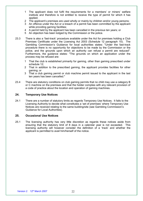- 1 The applicant does not fulfil the requirements for a members' or miners' welfare institute and therefore is not entitled to receive the type of permit for which it has applied;
- 2 The applicant's premises are used wholly or mainly by children and/or young persons;
- 3 An offence under the Act or a breach of a permit has been committed by the applicant while providing gaming facilities;
- 4 A permit held by the applicant has been cancelled in the previous ten years; or
- 5 An objection has been lodged by the Commission or the police.
- 23.3 Premises Certificate under the Licensing Act 2003 (Schedule 12 paragraph 10). The Gambling Commission's Guidance for local authorities states: "Under the fast-track procedure there is no opportunity for objections to be made by the Commission or the police, and the grounds upon which an authority can refuse a permit are reduced". Furthermore, the guidance states: "The grounds on which an application under the process may be refused are: There is also a 'fast-track' procedure available under the Act for premises holding a Club
	- $\mathbf{1}$  schedule 12; 1 That the club is established primarily for gaming, other than gaming prescribed under
	- 2 That in addition to the prescribed gaming, the applicant provides facilities for other gaming; or
	- 3 That a club gaming permit or club machine permit issued to the applicant in the last ten years has been cancelled."
- 23.4 or C machine on the premises and that the holder complies with any relevant provision of a code of practice about the location and operation of gaming machines. There are statutory conditions on club gaming permits that no child may use a category B

## 24. Temporary Use Notices

 $24.1$  Licensing Authority to decide what constitutes a 'set of premises' where Temporary Use Notices are received relating to the same building/site (see Gambling Commission's Guidance for Local Authorities). There are a number of statutory limits as regards Temporary Use Notices. It falls to the

## 25. Occasional Use Notices

 $251$  ensuring that the statutory limit of 8 days in a calendar year is not exceeded. This licensing authority will however consider the definition of a 'track' and whether the applicant is permitted to avail him/herself of the notice. The licensing authority has very little discretion as regards these notices aside from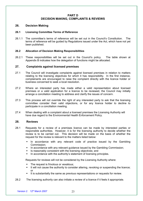## PART D DECISION MAKING, COMPLAINTS & REVIEWS

## 26. Decision Making

## 26.1 Licensing Committee Terms of Reference

 $26.1.1$  terms of reference will be guided by Regulations issued under the Act, which have not yet been published. 26.1.1 The committee's terms of reference will be set out in the Council's Constitution. The

## 26.2 Allocation of Decision Making Responsibilities

 $26.2.1$  Appendix B indicates how the delegation of functions might be allocated. These responsibilities will be set out in the Council's policy. The table shown at

#### $27.$ Complaints against licensed premises

- $271$  relating to the licensing objectives for which it has responsibility. In the first instance, complainants are encouraged to raise the complaint directly with the licence holder or business concerned to seek a local resolution. The Council will investigate complaints against licensed premises in relation to matters
- $272$  premises or a valid application for a licence to be reviewed, the Council may initially arrange a conciliation meeting to address and clarify the issues of concern. 27.2 Where an interested party has made either a valid representation about licensed
- $27.3$  committee consider their valid objections, or for any licence holder to decline to participate in a conciliation meeting. This process will not override the right of any interested party to ask that the licensing
- $27.4$  have due regard to the Environmental Health Enforcement Policy. 27.4 When dealing with a complaint about a licensed premises the Licensing Authority will

#### 28. **Reviews**

- 28.1 Requests for a review of a premises licence can be made by interested parties or responsible authorities. However, it is for the licensing authority to decide whether the review is to be carried out. This decision will be made on the basis of whether the request for the review is relevant to the matters listed below:
	- In accordance with any relevant code of practice issued by the Gambling Commission;
	- **IF In accordance with any relevant guidance issued by the Gambling Commission;**
	- Is reasonably consistent with the licensing objectives; and
	- $\blacksquare$ In accordance with the authority's statement of licensing principles.

Requests for reviews will not be considered by the Licensing Authority where:

- The request is frivolous or vexatious;
- It will not cause the authority to consider altering, revoking or suspending the licence; or
- It is substantially the same as previous representations or requests for review.
- 28.2 The licensing authority can also initiate a review of a licence if it feels it appropriate.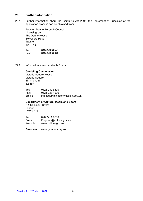## 29. Further information

 $291$ Further information about the Gambling Act 2005, this Statement of Principles or the application process can be obtained from:-

Taunton Deane Borough Council Licensing Unit The Deane House Belvedere Road **Taunton** TA1 1HE

Tel: Fax: 01823 356564 01823 356343

29.2 Information is also available from:-

## Gambling Commission

Victoria Square House Victoria Square Birmingham B2 4BP

Tel: 0121 230 6500 Fax: 0121 233 1096 Email: info@gamblingcommission.gov.uk

## Department of Culture, Media and Sport

2-4 Cockspur Street London SW1Y 5DH

Tel: 020 7211 6200 E-mail: Enquires@culture.gov.uk Website: <www.culture.gov.uk>

Gamcare: <www.gamcare.org.uk>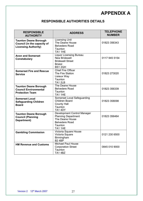## APPENDIX A

## RESPONSIBLE AUTHORITIES DETAILS

| <b>RESPONSIBLE</b><br><b>AUTHORITY</b>                                                     | <b>ADDRESS</b>                                                                                                              | <b>TELEPHONE</b><br><b>NUMBER</b> |
|--------------------------------------------------------------------------------------------|-----------------------------------------------------------------------------------------------------------------------------|-----------------------------------|
| <b>Taunton Deane Borough</b><br>Council (in the capacity of<br><b>Licensing Authority)</b> | Licensing Unit<br>The Deane House<br><b>Belvedere Road</b><br>Taunton<br>TA1 1HE                                            | 01823 356343                      |
| <b>Avon and Somerset</b><br><b>Constabulary</b>                                            | <b>Liquor Licensing Bureau</b><br><b>New Bridewell</b><br><b>Bridewell Street</b><br><b>Bristol</b><br><b>BS1 2QH</b>       | 0117 945 5154                     |
| <b>Somerset Fire and Rescue</b><br><b>Service</b>                                          | <b>Chief Fire Officer</b><br>The Fire Station<br>Lisieux Way<br>Taunton<br>TA1 2LB                                          | 01823 273020                      |
| <b>Taunton Deane Borough</b><br><b>Council Environmental</b><br><b>Protection Team</b>     | The Deane House<br><b>Belvedere Road</b><br>Taunton<br>TA1 1HE                                                              | 01823 356339                      |
| <b>Somerset Local</b><br><b>Safeguarding Children</b><br><b>Board</b>                      | <b>Somerset Local Safeguarding</b><br><b>Children Board</b><br><b>County Hall</b><br>Taunton<br><b>TA1 4DY</b>              | 01823 358098                      |
| <b>Taunton Deane Borough</b><br><b>Council (Planning</b><br>Department)                    | Development Control Manager<br><b>Planning Department</b><br>The Deane House<br><b>Belvedere Road</b><br>Taunton<br>TA1 1HE | 01823 356464                      |
| <b>Gambling Commission</b>                                                                 | Victoria Square House<br>Victoria Square<br>Birmingham<br><b>B2 4BP</b>                                                     | 0121 230 6500                     |
| <b>HM Revenue and Customs</b>                                                              | Michael Paul House<br><b>Corporation Street</b><br>Taunton<br><b>TA1 4BZ</b>                                                | 0845 010 9000                     |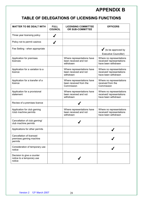# APPENDIX B

## TABLE OF DELEGATIONS OF LICENSING FUNCTIONS TABLE OF DELEGATIONS OF LICENSING FUNCTIONS

| <b>MATTER TO BE DEALT WITH</b>                                    | <b>FULL</b><br><b>COUNCIL</b> | <b>LICENSING COMMITTEE</b><br>OR SUB-COMMITTEE                     | <b>OFFICERS</b>                                                              |
|-------------------------------------------------------------------|-------------------------------|--------------------------------------------------------------------|------------------------------------------------------------------------------|
| Three year licensing policy                                       |                               |                                                                    |                                                                              |
| Policy not to permit casinos                                      |                               |                                                                    |                                                                              |
| Fee Setting - when appropriate                                    |                               |                                                                    | $\blacktriangleright$ (to be approved by<br><b>Executive Councillor)</b>     |
| Application for premises<br>licences                              |                               | Where representations have<br>been received and not<br>withdrawn   | Where no representations<br>received/representations<br>have been withdrawn  |
| Application for a variation to a<br>licence                       |                               | Where representations have<br>been received and not<br>withdrawn   | Where no representations<br>received/ representations<br>have been withdrawn |
| Application for a transfer of a<br>licence                        |                               | Where representations have<br>been received from the<br>Commission | Where no representations<br>received from the<br>Commission                  |
| Application for a provisional<br>statement                        |                               | Where representations have<br>been received and not<br>withdrawn   | Where no representations<br>received/representations<br>have been withdrawn  |
| Review of a premises licence                                      |                               |                                                                    |                                                                              |
| Application for club gaming<br>/club machine permits              |                               | Where representations have<br>been received and not<br>withdrawn   | Where no representations<br>received/representations<br>have been withdrawn  |
| Cancellation of club gaming/<br>club machine permits              |                               |                                                                    |                                                                              |
| Applications for other permits                                    |                               |                                                                    |                                                                              |
| Cancellation of licensed<br>premises gaming machine<br>permits    |                               |                                                                    |                                                                              |
| Consideration of temporary use<br>notice                          |                               |                                                                    |                                                                              |
| Decision to give a counter<br>notice to a temporary use<br>notice |                               |                                                                    |                                                                              |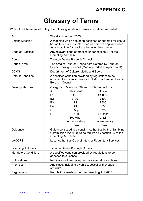# Glossary of Terms

Within this Statement of Policy, the following words and terms are defined as stated:

| Act:                              | The Gambling Act 2005                                                                                                                                                                                                                                                                                                                     |  |  |
|-----------------------------------|-------------------------------------------------------------------------------------------------------------------------------------------------------------------------------------------------------------------------------------------------------------------------------------------------------------------------------------------|--|--|
| <b>Betting Machine</b>            | A machine which has been designed or adapted for use to<br>bet on future real events, such as horse racing, and used<br>as a substitute for placing a bet over the counter.                                                                                                                                                               |  |  |
| Code of Practice:                 | Any relevant code of practice under section 24 of the<br>Gambling Act 2005                                                                                                                                                                                                                                                                |  |  |
| Council:                          | <b>Taunton Deane Borough Council</b>                                                                                                                                                                                                                                                                                                      |  |  |
| Council area:                     | The area of Taunton Deane administered by Taunton<br>Deane Borough Council (Map appended at Appendix D)                                                                                                                                                                                                                                   |  |  |
| <b>DCMS</b>                       | Department of Culture, Media and Sport                                                                                                                                                                                                                                                                                                    |  |  |
| <b>Default Condition:</b>         | A specified condition provided by regulations to be<br>attached to a licence, unless excluded by Taunton Deane<br><b>Borough Council</b>                                                                                                                                                                                                  |  |  |
| <b>Gaming Machine</b><br>Guidance | <b>Maximum Prize</b><br><b>Maximum Stake</b><br>Category<br>Unlimited<br>Unlimited<br>A<br>£2<br><b>B1</b><br>£4,000<br>£100<br><b>B2</b><br>£500<br>£500<br>B <sub>3</sub><br>£1<br>£1<br>£250<br><b>B4</b><br>£25<br>C<br>50p<br>D<br>10 <sub>p</sub><br>£5 cash<br>or £8<br>30p when<br>non-monetary<br>non-monetary<br>prize<br>prize |  |  |
|                                   | Guidance issued to Licensing Authorities by the Gambling<br>Commission (April 2006) as required by section 25 of the<br>Gambling Act 2005.                                                                                                                                                                                                |  |  |
| <b>LACORS</b>                     | Local Authorities Co-ordinators of Regulatory Services                                                                                                                                                                                                                                                                                    |  |  |
| <b>Licensing Authority</b>        | <b>Taunton Deane Borough Council</b>                                                                                                                                                                                                                                                                                                      |  |  |
| <b>Mandatory Condition:</b>       | A specified condition provided by regulations to be<br>attached to a licence                                                                                                                                                                                                                                                              |  |  |
| Notifications:                    | Notification of temporary and occasional use notices                                                                                                                                                                                                                                                                                      |  |  |
| Premises:                         | Any place, including a vehicle, vessel or moveable<br>structure                                                                                                                                                                                                                                                                           |  |  |
| Regulations:                      | Regulations made under the Gambling Act 2005                                                                                                                                                                                                                                                                                              |  |  |